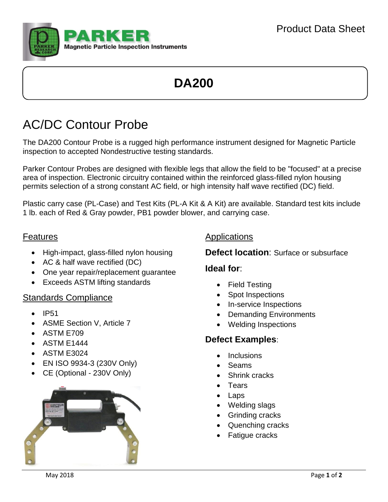

# **DA200**

## AC/DC Contour Probe

The DA200 Contour Probe is a rugged high performance instrument designed for Magnetic Particle inspection to accepted Nondestructive testing standards.

Parker Contour Probes are designed with flexible legs that allow the field to be "focused" at a precise area of inspection. Electronic circuitry contained within the reinforced glass-filled nylon housing permits selection of a strong constant AC field, or high intensity half wave rectified (DC) field.

Plastic carry case (PL-Case) and Test Kits (PL-A Kit & A Kit) are available. Standard test kits include 1 lb. each of Red & Gray powder, PB1 powder blower, and carrying case.

#### Features

- High-impact, glass-filled nylon housing
- AC & half wave rectified (DC)
- One year repair/replacement quarantee
- Exceeds ASTM lifting standards

#### Standards Compliance

- $\bullet$  IP51
- ASME Section V, Article 7
- ASTM E709
- ASTM E1444
- ASTM E3024
- EN ISO 9934-3 (230V Only)
- CE (Optional 230V Only)



### Applications

### **Defect location**: Surface or subsurface

### **Ideal for**:

- Field Testing
- Spot Inspections
- In-service Inspections
- Demanding Environments
- Welding Inspections

## **Defect Examples**:

- **Inclusions**
- Seams
- Shrink cracks
- **Tears**
- Laps
- Welding slags
- Grinding cracks
- Quenching cracks
- Fatigue cracks